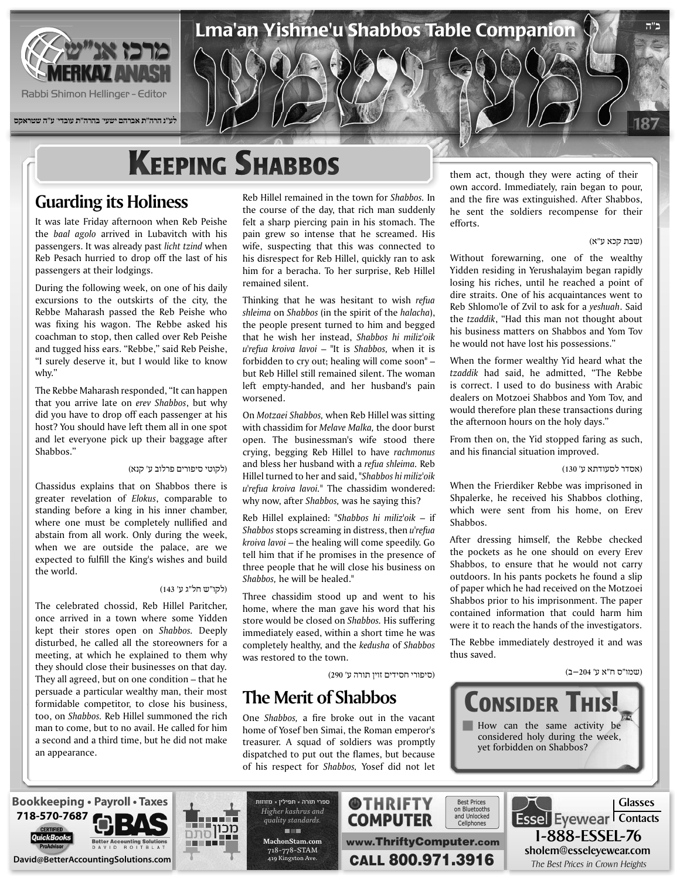

Rabbi Shimon Hellinger - Editor

**לע"נ הרה"ת אברהם ישעי' בהרה"ת עובדי' ע"ה שטראקס**

# **KEEPING SHABBOS**

## **Guarding its Holiness**

It was late Friday afternoon when Reb Peishe the baal agolo arrived in Lubavitch with his passengers. It was already past *licht tzind* when Reb Pesach hurried to drop off the last of his passengers at their lodgings.

During the following week, on one of his daily excursions to the outskirts of the city, the Rebbe Maharash passed the Reb Peishe who was fixing his wagon. The Rebbe asked his coachman to stop, then called over Reb Peishe and tugged hiss ears. "Rebbe," said Reb Peishe, "I surely deserve it, but I would like to know why."

The Rebbe Maharash responded, "It can happen that you arrive late on erev Shabbos, but why did you have to drop off each passenger at his host? You should have left them all in one spot and let everyone pick up their baggage after Shabbos."

#### (לקוטי סיפורים פרלוב ע' קנא)

Chassidus explains that on Shabbos there is greater revelation of *Elokus*, comparable to standing before a king in his inner chamber, where one must be completely nullified and abstain from all work. Only during the week, when we are outside the palace, are we expected to fulfill the King's wishes and build the world.

#### (לקו"ש חל"ג ע' 143)

The celebrated chossid, Reb Hillel Paritcher, once arrived in a town where some Yidden kept their stores open on Shabbos. Deeply disturbed, he called all the storeowners for a meeting, at which he explained to them why they should close their businesses on that day. They all agreed, but on one condition  $-$  that he persuade a particular wealthy man, their most formidable competitor, to close his business, too, on Shabbos. Reb Hillel summoned the rich man to come, but to no avail. He called for him a second and a third time, but he did not make an appearance.

Reb Hillel remained in the town for *Shabbos*. In the course of the day, that rich man suddenly felt a sharp piercing pain in his stomach. The pain grew so intense that he screamed. His wife, suspecting that this was connected to his disrespect for Reb Hillel, quickly ran to ask him for a beracha. To her surprise, Reb Hillel remained silent.

Lma'an Yishme'u Shabbos Table Companion

Thinking that he was hesitant to wish refua shleima on Shabbos (in the spirit of the halacha), the people present turned to him and begged that he wish her instead, Shabbos hi miliz'oik u'refua kroiva lavoi – "It is Shabbos, when it is forbidden to cry out; healing will come soon"  $$ but Reb Hillel still remained silent. The woman left empty-handed, and her husband's pain .worsened

On *Motzaei Shabbos*, when Reb Hillel was sitting with chassidim for *Melave Malka*, the door burst open. The businessman's wife stood there crying, begging Reb Hillel to have rachmonus and bless her husband with a refua shleima. Reb Hillel turned to her and said, "Shabbos hi miliz'oik  $u$ <sup>r</sup> *efua kroiva lavoi*." The chassidim wondered: why now, after Shabbos, was he saying this?

Reb Hillel explained: "Shabbos hi miliz'oik - if *Shabbos* stops screaming in distress, then *u*'refua kroiva lavoi – the healing will come speedily. Go tell him that if he promises in the presence of three people that he will close his business on Shabbos, he will be healed."

Three chassidim stood up and went to his home, where the man gave his word that his store would be closed on *Shabbos*. His suffering immediately eased, within a short time he was completely healthy, and the *kedusha* of *Shabbos* was restored to the town.

(סיפורי חסידים זוין תורה ע' 290)

### **The Merit of Shabbos**

One *Shabbos*, a fire broke out in the vacant home of Yosef ben Simai, the Roman emperor's treasurer. A squad of soldiers was promptly dispatched to put out the flames, but because of his respect for Shabbos, Yosef did not let

them act, though they were acting of their own accord. Immediately, rain began to pour, and the fire was extinguished. After Shabbos, he sent the soldiers recompense for their .efforts

#### (שבת קכא ע"א)

187

**ב"ה**

Without forewarning, one of the wealthy Yidden residing in Yerushalayim began rapidly losing his riches, until he reached a point of dire straits. One of his acquaintances went to Reb Shlomo'le of Zvil to ask for a *yeshuah*. Said the *tzaddik*, "Had this man not thought about his business matters on Shabbos and Yom Tov he would not have lost his possessions."

When the former wealthy Yid heard what the tzaddik had said, he admitted, "The Rebbe is correct. I used to do business with Arabic dealers on Motzoei Shabbos and Yom Tov, and would therefore plan these transactions during the afternoon hours on the holy days."

From then on, the Yid stopped faring as such, and his financial situation improved.

(אסדר לסעודתא ע' 130)

When the Frierdiker Rebbe was imprisoned in Shpalerke, he received his Shabbos clothing, which were sent from his home, on Erev .Shabbos

After dressing himself, the Rebbe checked the pockets as he one should on every Erev Shabbos, to ensure that he would not carry outdoors. In his pants pockets he found a slip of paper which he had received on the Motzoei Shabbos prior to his imprisonment. The paper contained information that could harm him were it to reach the hands of the investigators.

The Rebbe immediately destroyed it and was thus saved.

#### (שמו"ס ח"א ע' 204–ב)